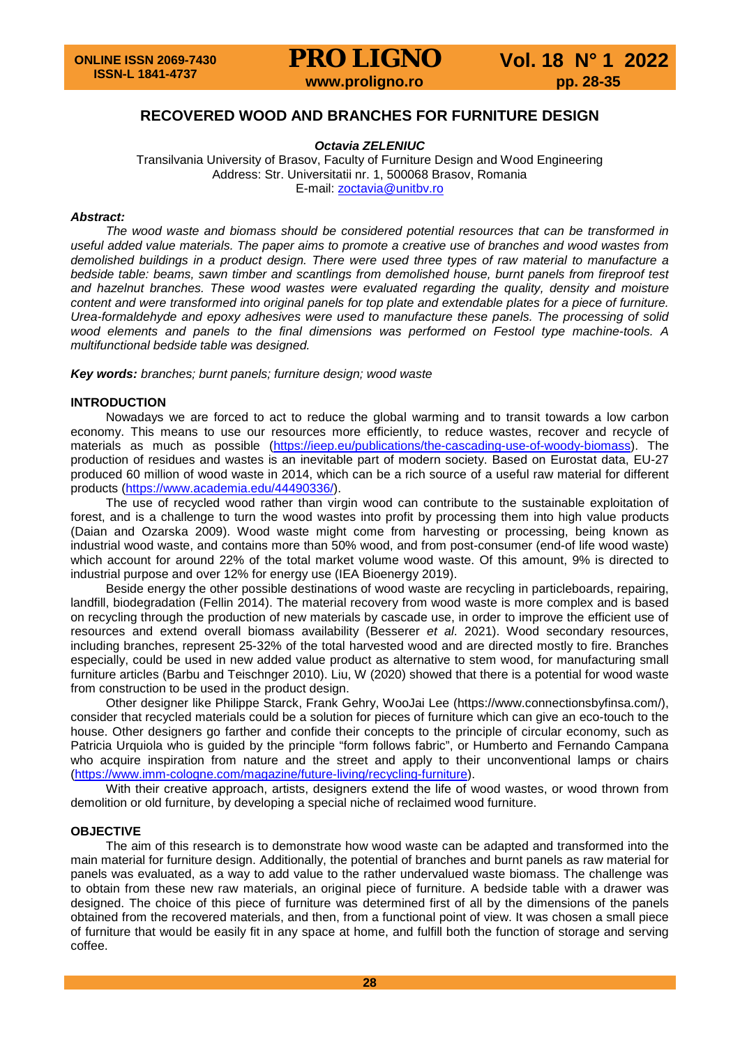# **RECOVERED WOOD AND BRANCHES FOR FURNITURE DESIGN**

*Octavia ZELENIUC*

Transilvania University of Brasov, Faculty of Furniture Design and Wood Engineering Address: Str. Universitatii nr. 1, 500068 Brasov, Romania E-mail: [zoctavia@unitbv.ro](mailto:zoctavia@unitbv.ro)

### *Abstract:*

*The wood waste and biomass should be considered potential resources that can be transformed in useful added value materials. The paper aims to promote a creative use of branches and wood wastes from demolished buildings in a product design. There were used three types of raw material to manufacture a bedside table: beams, sawn timber and scantlings from demolished house, burnt panels from fireproof test and hazelnut branches. These wood wastes were evaluated regarding the quality, density and moisture content and were transformed into original panels for top plate and extendable plates for a piece of furniture. Urea-formaldehyde and epoxy adhesives were used to manufacture these panels. The processing of solid wood elements and panels to the final dimensions was performed on Festool type machine-tools. A multifunctional bedside table was designed.* 

*Key words: branches; burnt panels; furniture design; wood waste*

### **INTRODUCTION**

Nowadays we are forced to act to reduce the global warming and to transit towards a low carbon economy. This means to use our resources more efficiently, to reduce wastes, recover and recycle of materials as much as possible [\(https://ieep.eu/publications/the-cascading-use-of-woody-biomass\)](https://ieep.eu/publications/the-cascading-use-of-woody-biomass). The production of residues and wastes is an inevitable part of modern society. Based on Eurostat data, EU-27 produced 60 million of wood waste in 2014, which can be a rich source of a useful raw material for different products [\(https://www.academia.edu/44490336/\)](https://www.academia.edu/44490336/).

The use of recycled wood rather than virgin wood can contribute to the sustainable exploitation of forest, and is a challenge to turn the wood wastes into profit by processing them into high value products (Daian and Ozarska 2009). Wood waste might come from harvesting or processing, being known as industrial wood waste, and contains more than 50% wood, and from post-consumer (end-of life wood waste) which account for around 22% of the total market volume wood waste. Of this amount, 9% is directed to industrial purpose and over 12% for energy use (IEA Bioenergy 2019).

Beside energy the other possible destinations of wood waste are recycling in particleboards, repairing, landfill, biodegradation (Fellin 2014). The material recovery from wood waste is more complex and is based on recycling through the production of new materials by cascade use, in order to improve the efficient use of resources and extend overall biomass availability (Besserer *et al*. 2021). Wood secondary resources, including branches, represent 25-32% of the total harvested wood and are directed mostly to fire. Branches especially, could be used in new added value product as alternative to stem wood, for manufacturing small furniture articles (Barbu and Teischnger 2010). Liu, W (2020) showed that there is a potential for wood waste from construction to be used in the product design.

Other designer like Philippe Starck, Frank Gehry, WooJai Lee (https://www.connectionsbyfinsa.com/), consider that recycled materials could be a solution for pieces of furniture which can give an eco-touch to the house. Other designers go farther and confide their concepts to the principle of circular economy, such as Patricia Urquiola who is guided by the principle "form follows fabric", or Humberto and Fernando Campana who acquire inspiration from nature and the street and apply to their unconventional lamps or chairs [\(https://www.imm-cologne.com/magazine/future-living/recycling-furniture\)](https://www.imm-cologne.com/magazine/future-living/recycling-furniture).

With their creative approach, artists, designers extend the life of wood wastes, or wood thrown from demolition or old furniture, by developing a special niche of reclaimed wood furniture.

### **OBJECTIVE**

The aim of this research is to demonstrate how wood waste can be adapted and transformed into the main material for furniture design. Additionally, the potential of branches and burnt panels as raw material for panels was evaluated, as a way to add value to the rather undervalued waste biomass. The challenge was to obtain from these new raw materials, an original piece of furniture. A bedside table with a drawer was designed. The choice of this piece of furniture was determined first of all by the dimensions of the panels obtained from the recovered materials, and then, from a functional point of view. It was chosen a small piece of furniture that would be easily fit in any space at home, and fulfill both the function of storage and serving coffee.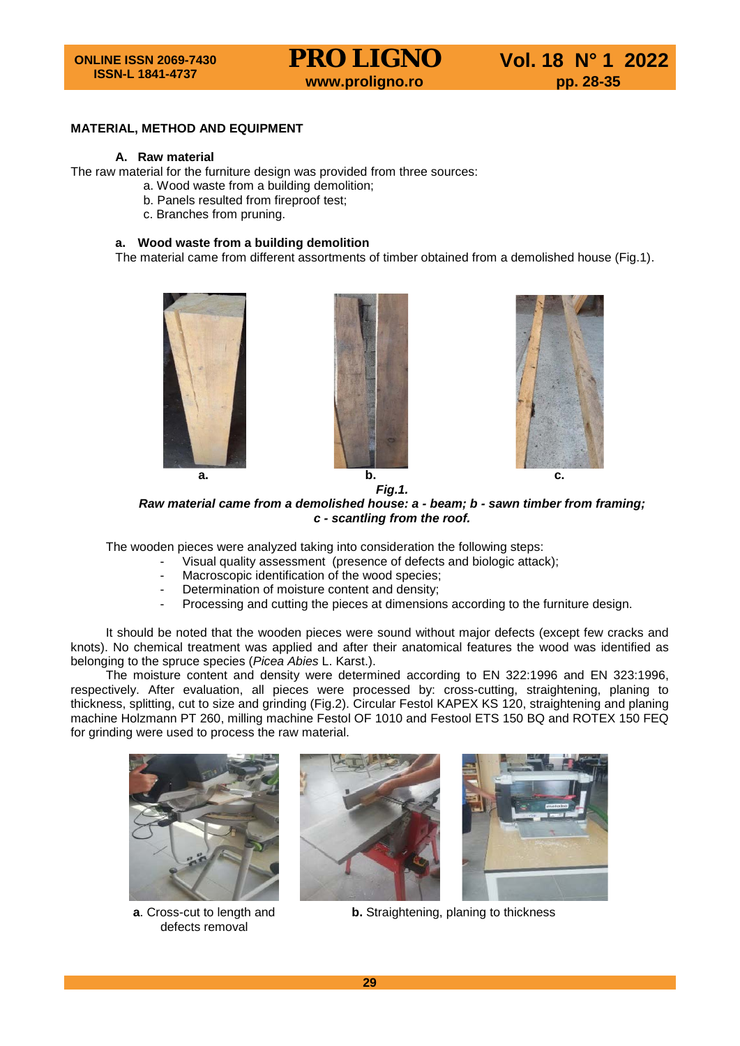### **MATERIAL, METHOD AND EQUIPMENT**

### **A. Raw material**

The raw material for the furniture design was provided from three sources:

- a. Wood waste from a building demolition;
- b. Panels resulted from fireproof test;
- c. Branches from pruning.

### **a. Wood waste from a building demolition**

The material came from different assortments of timber obtained from a demolished house (Fig.1).







*Raw material came from a demolished house: a - beam; b - sawn timber from framing; c - scantling from the roof.*

The wooden pieces were analyzed taking into consideration the following steps:

- Visual quality assessment (presence of defects and biologic attack);
	- Macroscopic identification of the wood species;
	- Determination of moisture content and density;
	- Processing and cutting the pieces at dimensions according to the furniture design.

It should be noted that the wooden pieces were sound without major defects (except few cracks and knots). No chemical treatment was applied and after their anatomical features the wood was identified as belonging to the spruce species (*Picea Abies* L. Karst.).

The moisture content and density were determined according to EN 322:1996 and EN 323:1996, respectively. After evaluation, all pieces were processed by: cross-cutting, straightening, planing to thickness, splitting, cut to size and grinding (Fig.2). Circular Festol KAPEX KS 120, straightening and planing machine Holzmann PT 260, milling machine Festol OF 1010 and Festool ETS 150 BQ and ROTEX 150 FEQ for grinding were used to process the raw material.



**a**. Cross-cut to length and defects removal





**b.** Straightening, planing to thickness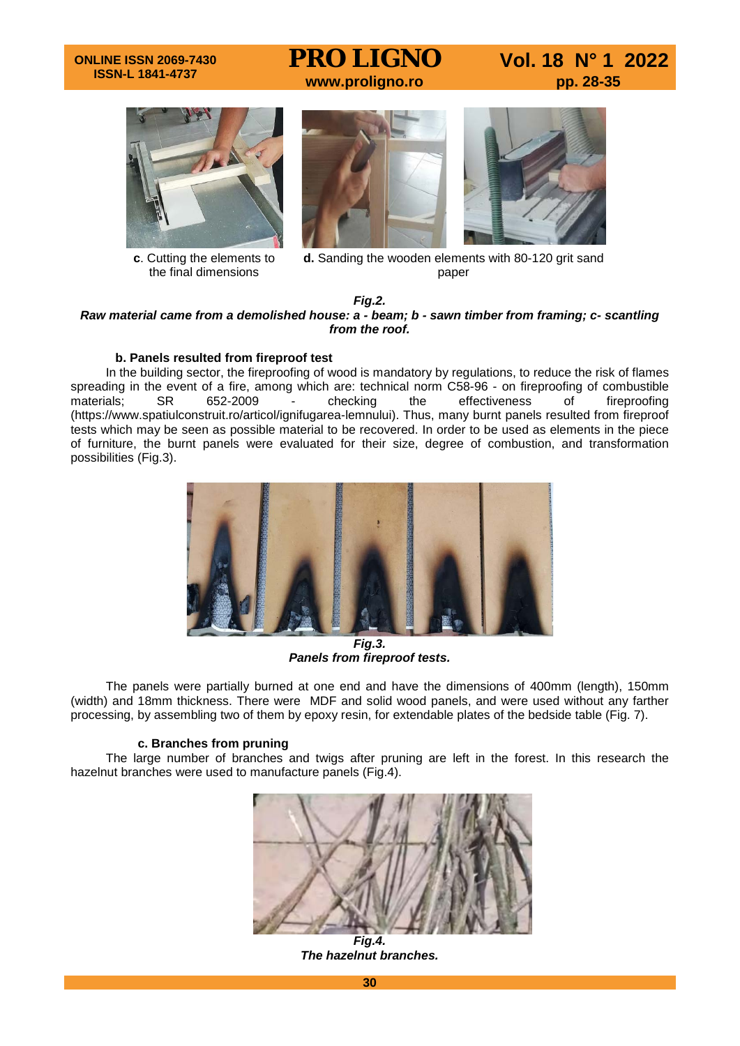### **ONLINE ISSN 2069-7430 ISSN-L 1841-4737**

**PRO LIGNO** Vol. 18 N° 1 2022<br>www.proligno.ro pp. 28-35



**c**. Cutting the elements to the final dimensions





**d.** Sanding the wooden elements with 80-120 grit sand paper

### *Fig.2. Raw material came from a demolished house: a - beam; b - sawn timber from framing; c- scantling from the roof.*

### **b. Panels resulted from fireproof test**

In the building sector, the fireproofing of wood is mandatory by regulations, to reduce the risk of flames spreading in the event of a fire, among which are: technical norm C58-96 - on fireproofing of combustible materials; SR 652-2009 - checking the effectiveness of fireproofing materials; SR 652-2009 - checking the effectiveness of fireproofing (https://www.spatiulconstruit.ro/articol/ignifugarea-lemnului). Thus, many burnt panels resulted from fireproof tests which may be seen as possible material to be recovered. In order to be used as elements in the piece of furniture, the burnt panels were evaluated for their size, degree of combustion, and transformation possibilities (Fig.3).



*Fig.3. Panels from fireproof tests.*

The panels were partially burned at one end and have the dimensions of 400mm (length), 150mm (width) and 18mm thickness. There were MDF and solid wood panels, and were used without any farther processing, by assembling two of them by epoxy resin, for extendable plates of the bedside table (Fig. 7).

### **c. Branches from pruning**

The large number of branches and twigs after pruning are left in the forest. In this research the hazelnut branches were used to manufacture panels (Fig.4).



*Fig.4. The hazelnut branches.*

**30**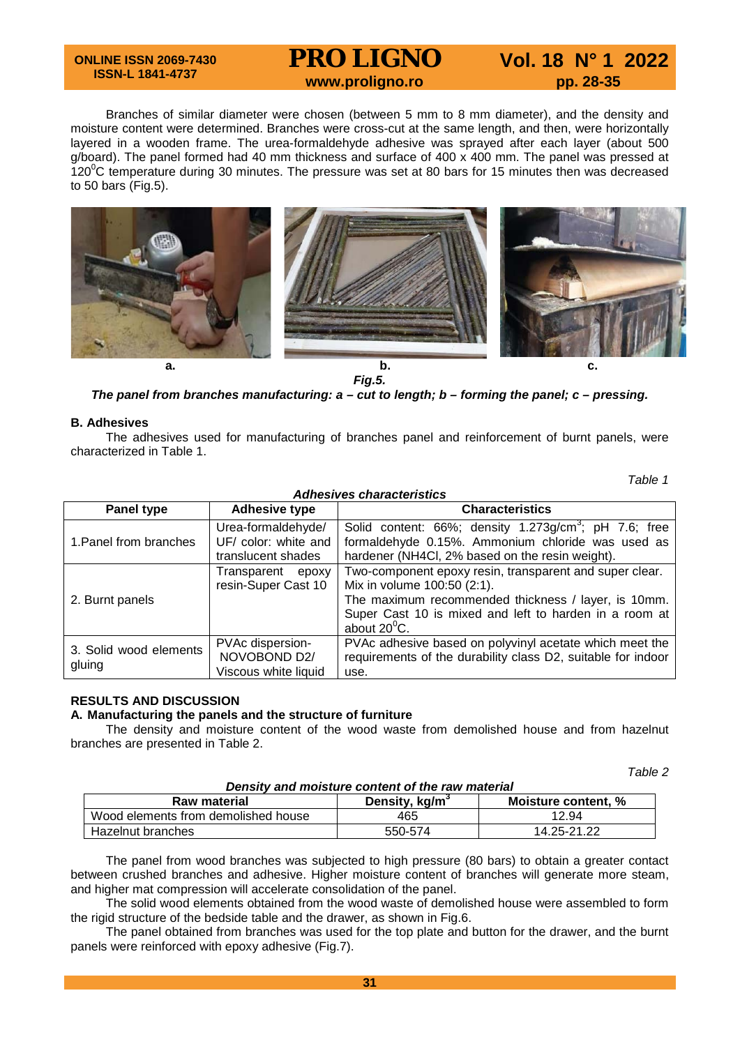### **ONLINE ISSN 2069-7430 ISSN-L 1841-4737**

# **PRO LIGNO** Vol. 18 N° 1 2022<br>www.proligno.ro pp. 28-35

Branches of similar diameter were chosen (between 5 mm to 8 mm diameter), and the density and moisture content were determined. Branches were cross-cut at the same length, and then, were horizontally layered in a wooden frame. The urea-formaldehyde adhesive was sprayed after each layer (about 500 g/board). The panel formed had 40 mm thickness and surface of 400 x 400 mm. The panel was pressed at 120 $\mathrm{^0C}$  temperature during 30 minutes. The pressure was set at 80 bars for 15 minutes then was decreased to 50 bars (Fig.5).



*Fig.5.*

*The panel from branches manufacturing: a – cut to length; b – forming the panel; c – pressing.*

### **B. Adhesives**

The adhesives used for manufacturing of branches panel and reinforcement of burnt panels, were characterized in Table 1.

*Table 1*

| <b>Adhesives characteristics</b> |                                                          |                                                                                                                                                                                                                                  |  |  |  |  |
|----------------------------------|----------------------------------------------------------|----------------------------------------------------------------------------------------------------------------------------------------------------------------------------------------------------------------------------------|--|--|--|--|
| Panel type                       | <b>Adhesive type</b>                                     | <b>Characteristics</b>                                                                                                                                                                                                           |  |  |  |  |
| 1. Panel from branches           | Urea-formaldehyde/                                       | Solid content: 66%; density 1.273g/cm <sup>3</sup> ; pH 7.6; free                                                                                                                                                                |  |  |  |  |
|                                  | UF/ color: white and<br>translucent shades               | formaldehyde 0.15%. Ammonium chloride was used as<br>hardener (NH4CI, 2% based on the resin weight).                                                                                                                             |  |  |  |  |
| 2. Burnt panels                  | Transparent<br>epoxy<br>resin-Super Cast 10              | Two-component epoxy resin, transparent and super clear.<br>Mix in volume 100:50 (2:1).<br>The maximum recommended thickness / layer, is 10mm.<br>Super Cast 10 is mixed and left to harden in a room at<br>about $20^{\circ}$ C. |  |  |  |  |
| 3. Solid wood elements<br>gluing | PVAc dispersion-<br>NOVOBOND D2/<br>Viscous white liquid | PVAc adhesive based on polyvinyl acetate which meet the<br>requirements of the durability class D2, suitable for indoor<br>use.                                                                                                  |  |  |  |  |

# **RESULTS AND DISCUSSION**

### **A. Manufacturing the panels and the structure of furniture**

The density and moisture content of the wood waste from demolished house and from hazelnut branches are presented in Table 2.

*Table 2*

| Density and moisture content of the raw material |                            |                     |  |  |  |
|--------------------------------------------------|----------------------------|---------------------|--|--|--|
| Raw material                                     | Density, kg/m <sup>3</sup> | Moisture content. % |  |  |  |
| Wood elements from demolished house              | 465                        | 12.94               |  |  |  |
| Hazelnut branches                                | 550-574                    | 14.25-21.22         |  |  |  |

The panel from wood branches was subjected to high pressure (80 bars) to obtain a greater contact between crushed branches and adhesive. Higher moisture content of branches will generate more steam, and higher mat compression will accelerate consolidation of the panel.

The solid wood elements obtained from the wood waste of demolished house were assembled to form the rigid structure of the bedside table and the drawer, as shown in Fig.6.

The panel obtained from branches was used for the top plate and button for the drawer, and the burnt panels were reinforced with epoxy adhesive (Fig.7).

### *Density and moisture content of the raw material*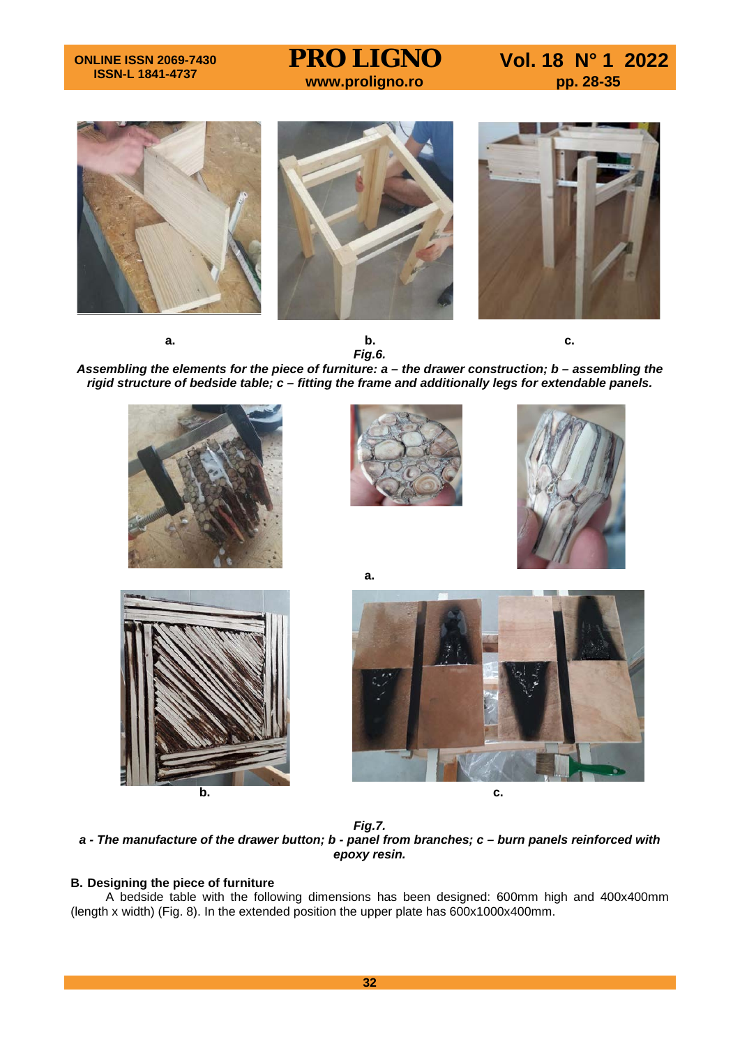**PRO LIGNO** Vol. 18 N° 1 2022<br>www.proligno.ro pp. 28-35





**a.**

*Assembling the elements for the piece of furniture: a – the drawer construction; b – assembling the rigid structure of bedside table; c – fitting the frame and additionally legs for extendable panels.*









*Fig.7. a - The manufacture of the drawer button; b - panel from branches; c – burn panels reinforced with epoxy resin.*

## **B. Designing the piece of furniture**

A bedside table with the following dimensions has been designed: 600mm high and 400x400mm (length x width) (Fig. 8). In the extended position the upper plate has 600x1000x400mm.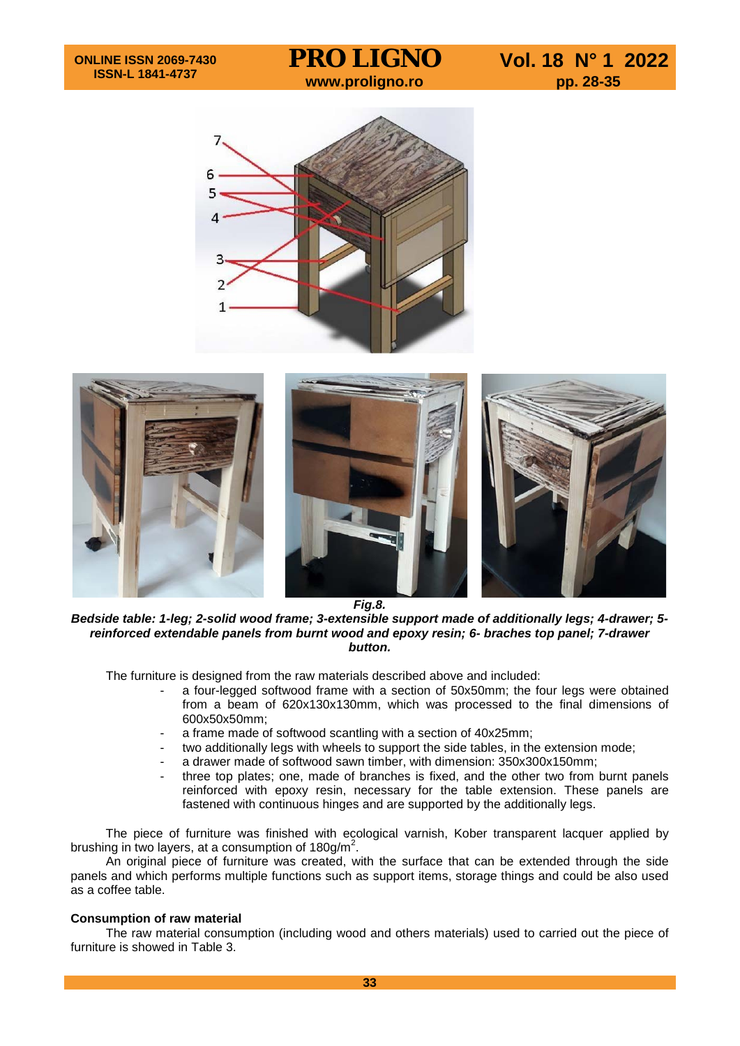**PRO LIGNO** Vol. 18 N° 1 2022<br>www.proligno.ro pp. 28-35





*Fig.8.*

*Bedside table: 1-leg; 2-solid wood frame; 3-extensible support made of additionally legs; 4-drawer; 5 reinforced extendable panels from burnt wood and epoxy resin; 6- braches top panel; 7-drawer button.*

The furniture is designed from the raw materials described above and included:

- a four-legged softwood frame with a section of 50x50mm; the four legs were obtained from a beam of 620x130x130mm, which was processed to the final dimensions of 600x50x50mm;
- a frame made of softwood scantling with a section of 40x25mm;
- two additionally legs with wheels to support the side tables, in the extension mode;
- a drawer made of softwood sawn timber, with dimension: 350x300x150mm;
- three top plates; one, made of branches is fixed, and the other two from burnt panels reinforced with epoxy resin, necessary for the table extension. These panels are fastened with continuous hinges and are supported by the additionally legs.

The piece of furniture was finished with ecological varnish, Kober transparent lacquer applied by brushing in two layers, at a consumption of 180g/m<sup>2</sup>.

An original piece of furniture was created, with the surface that can be extended through the side panels and which performs multiple functions such as support items, storage things and could be also used as a coffee table.

### **Consumption of raw material**

The raw material consumption (including wood and others materials) used to carried out the piece of furniture is showed in Table 3.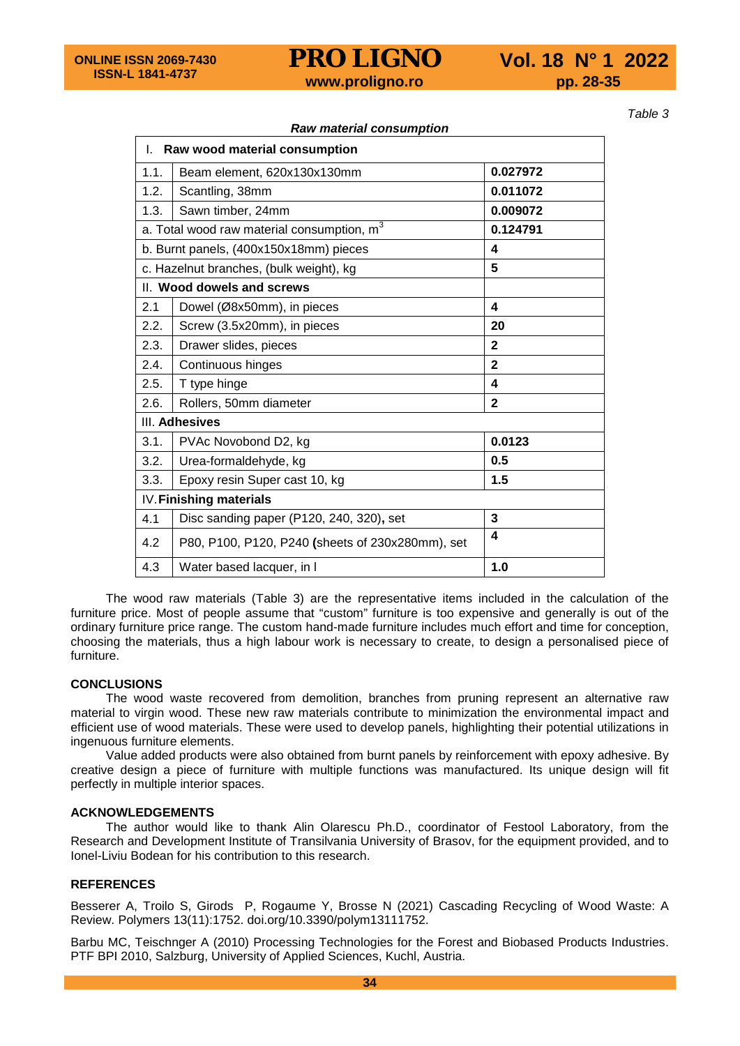**PRO LIGNO** Vol. 18 N° 1 2022<br>www.proligno.ro pp. 28-35

*Table 3*

|                                         | I. Raw wood material consumption                 |                |  |
|-----------------------------------------|--------------------------------------------------|----------------|--|
| 1.1.                                    | Beam element, 620x130x130mm                      | 0.027972       |  |
| 1.2.                                    | Scantling, 38mm                                  | 0.011072       |  |
| 1.3.                                    | Sawn timber, 24mm                                | 0.009072       |  |
|                                         | a. Total wood raw material consumption, m        | 0.124791       |  |
| b. Burnt panels, (400x150x18mm) pieces  |                                                  | 4              |  |
| c. Hazelnut branches, (bulk weight), kg |                                                  | 5              |  |
|                                         | II. Wood dowels and screws                       |                |  |
| 2.1                                     | Dowel (Ø8x50mm), in pieces                       | 4              |  |
| 2.2.                                    | Screw (3.5x20mm), in pieces                      | 20             |  |
| 2.3.                                    | Drawer slides, pieces                            | $\mathbf{2}$   |  |
| 2.4.                                    | Continuous hinges                                | $\overline{2}$ |  |
| 2.5.                                    | T type hinge                                     | 4              |  |
| 2.6.                                    | Rollers, 50mm diameter                           | $\mathbf{2}$   |  |
|                                         | III. Adhesives                                   |                |  |
| 3.1.                                    | PVAc Novobond D2, kg                             | 0.0123         |  |
| 3.2.                                    | Urea-formaldehyde, kg                            | 0.5            |  |
| 3.3.                                    | Epoxy resin Super cast 10, kg                    | 1.5            |  |
|                                         | IV. Finishing materials                          |                |  |
| 4.1                                     | Disc sanding paper (P120, 240, 320), set         | 3              |  |
| 4.2                                     | P80, P100, P120, P240 (sheets of 230x280mm), set | 4              |  |
| 4.3                                     | Water based lacquer, in I                        | 1.0            |  |

*Raw material consumption*

The wood raw materials (Table 3) are the representative items included in the calculation of the furniture price. Most of people assume that "custom" furniture is too expensive and generally is out of the ordinary furniture price range. The custom hand-made furniture includes much effort and time for conception, choosing the materials, thus a high labour work is necessary to create, to design a personalised piece of furniture.

# **CONCLUSIONS**

The wood waste recovered from demolition, branches from pruning represent an alternative raw material to virgin wood. These new raw materials contribute to minimization the environmental impact and efficient use of wood materials. These were used to develop panels, highlighting their potential utilizations in ingenuous furniture elements.

Value added products were also obtained from burnt panels by reinforcement with epoxy adhesive. By creative design a piece of furniture with multiple functions was manufactured. Its unique design will fit perfectly in multiple interior spaces.

# **ACKNOWLEDGEMENTS**

The author would like to thank Alin Olarescu Ph.D., coordinator of Festool Laboratory, from the Research and Development Institute of Transilvania University of Brasov, for the equipment provided, and to Ionel-Liviu Bodean for his contribution to this research.

### **REFERENCES**

Besserer A, Troilo S, Girods P, Rogaume Y, Brosse N (2021) Cascading Recycling of Wood Waste: A Review. Polymers 13(11):1752. doi.org/10.3390/polym13111752.

Barbu MC, Teischnger A (2010) Processing Technologies for the Forest and Biobased Products Industries. PTF BPI 2010, Salzburg, University of Applied Sciences, Kuchl, Austria.